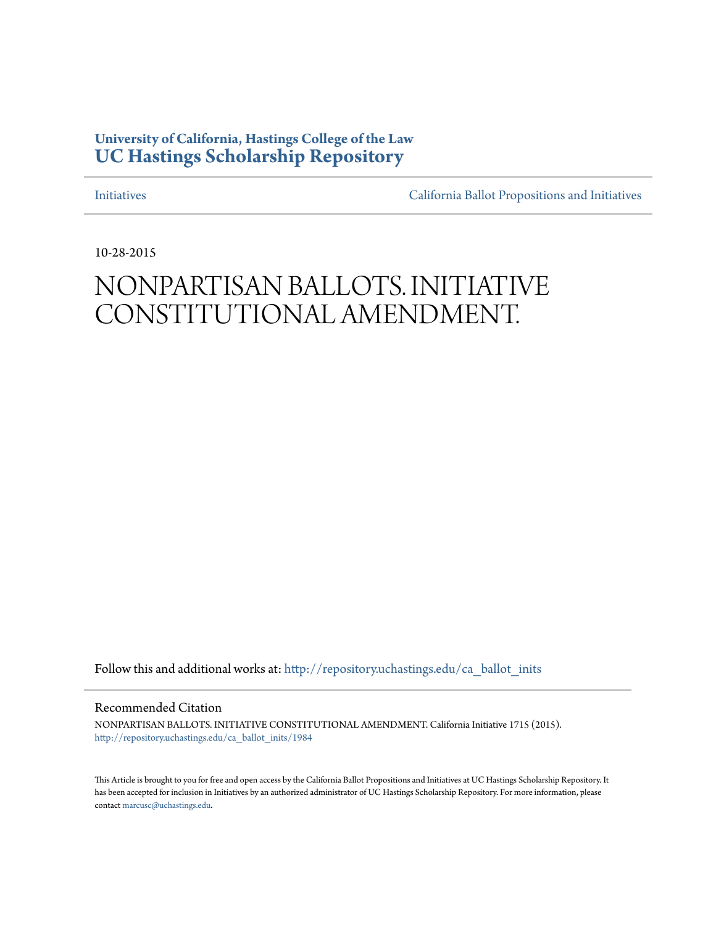## **University of California, Hastings College of the Law [UC Hastings Scholarship Repository](http://repository.uchastings.edu?utm_source=repository.uchastings.edu%2Fca_ballot_inits%2F1984&utm_medium=PDF&utm_campaign=PDFCoverPages)**

[Initiatives](http://repository.uchastings.edu/ca_ballot_inits?utm_source=repository.uchastings.edu%2Fca_ballot_inits%2F1984&utm_medium=PDF&utm_campaign=PDFCoverPages) [California Ballot Propositions and Initiatives](http://repository.uchastings.edu/ca_ballots?utm_source=repository.uchastings.edu%2Fca_ballot_inits%2F1984&utm_medium=PDF&utm_campaign=PDFCoverPages)

10-28-2015

## NONPARTISAN BALLOTS. INITIATIVE CONSTITUTIONAL AMENDMENT.

Follow this and additional works at: [http://repository.uchastings.edu/ca\\_ballot\\_inits](http://repository.uchastings.edu/ca_ballot_inits?utm_source=repository.uchastings.edu%2Fca_ballot_inits%2F1984&utm_medium=PDF&utm_campaign=PDFCoverPages)

Recommended Citation

NONPARTISAN BALLOTS. INITIATIVE CONSTITUTIONAL AMENDMENT. California Initiative 1715 (2015). [http://repository.uchastings.edu/ca\\_ballot\\_inits/1984](http://repository.uchastings.edu/ca_ballot_inits/1984?utm_source=repository.uchastings.edu%2Fca_ballot_inits%2F1984&utm_medium=PDF&utm_campaign=PDFCoverPages)

This Article is brought to you for free and open access by the California Ballot Propositions and Initiatives at UC Hastings Scholarship Repository. It has been accepted for inclusion in Initiatives by an authorized administrator of UC Hastings Scholarship Repository. For more information, please contact [marcusc@uchastings.edu](mailto:marcusc@uchastings.edu).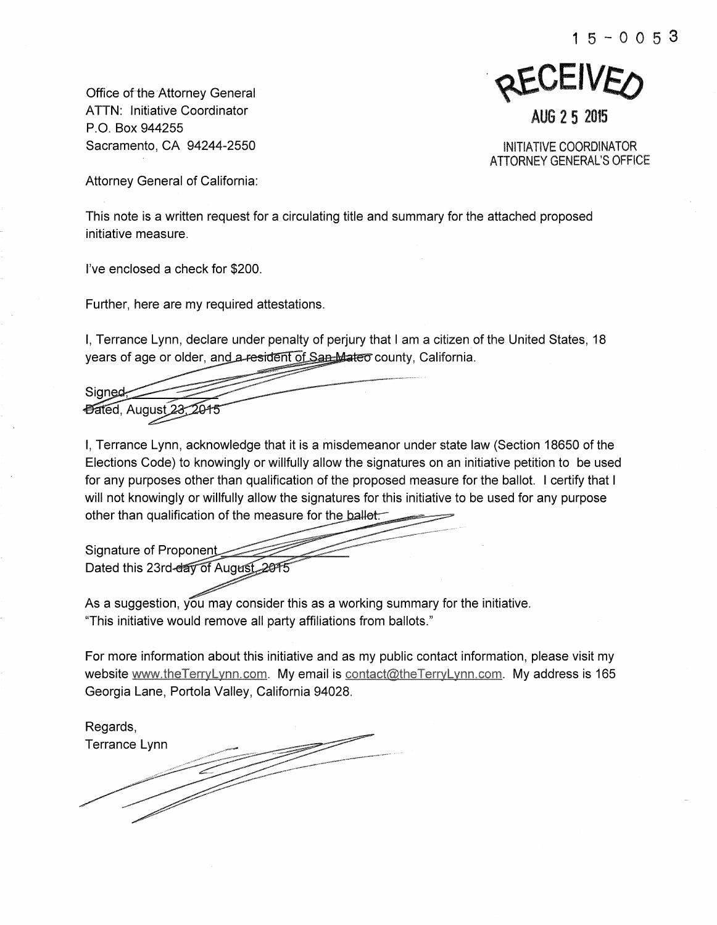Office of-the Attorney General ATTN: Initiative Coordinator P.O. Box 944255 Sacramento, CA 94244-2550

**REVEIVED** AUG 2 5 2015

INITIATIVE COORDINATOR ATTORNEY GENERAL'S OFFICE

Attorney General of California:

This note is a written request for a circulating title and summary for the attached proposed initiative measure.

I've enclosed a check for \$200.

Further, here are my required attestations.

I, Terrance Lynn, declare under penalty of perjury that I am a citizen of the United States, 18 years of age or older, and a-resident of San Mateo county, California.

Signed-*Dated, August 23* 

I, Terrance Lynn, acknowledge that it is a misdemeanor under state law (Section 18650 of the Elections Code) to knowingly or willfully allow the signatures on an initiative petition to be used for any purposes other than qualification of the proposed measure for the ballot. I certify that I will not knowingly or willfully allow the signatures for this initiative to be used for any purpose other than qualification of the measure for the **ballet** 

Signature of Proponent Dated this 23rd-day of August 2015

As a suggestion, you may consider this as a working summary for the initiative. "This initiative would remove all party affiliations from ballots."

For more information about this initiative and as my public contact information, please visit my website www.theTerryLynn.com. My email is contact@theTerryLynn.com. My address is 165 Georgia Lane, Portola Valley, California 94028.

Regards, Terrance Lynn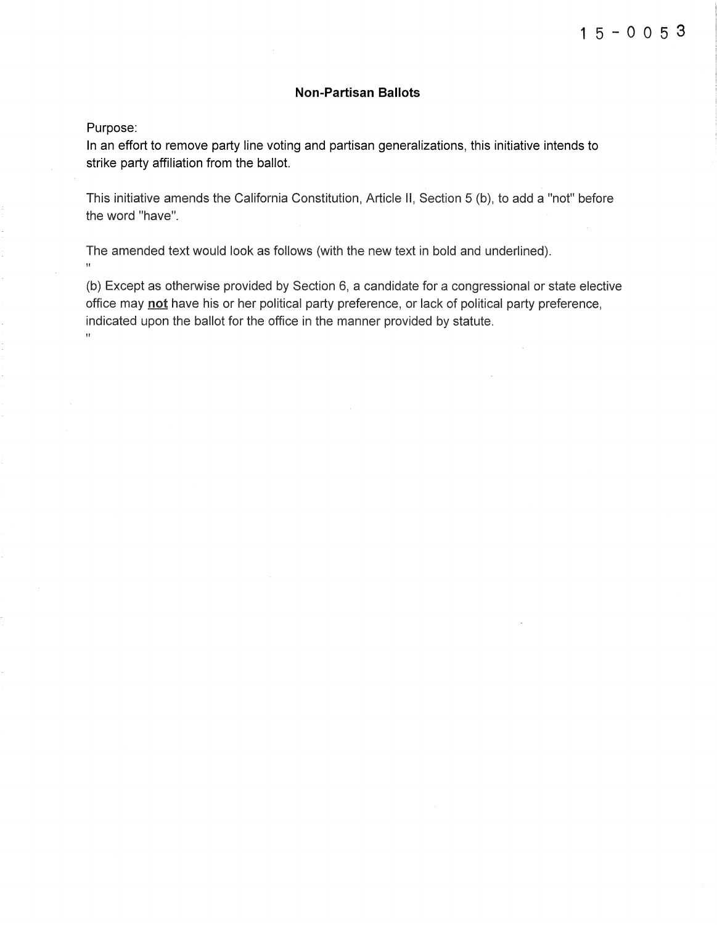## **Non-Partisan Ballots**

Purpose:

In an effort to remove party line voting and partisan generalizations, this initiative intends to strike party affiliation from the ballot.

This initiative amends the California Constitution, Article II, Section 5 (b), to add a "not" before the word "have".

The amended text would look as follows (with the new text in bold and underlined). "

(b) Except as otherwise provided by Section 6, a candidate for a congressional or state elective office may not have his or her political party preference, or lack of political party preference, indicated upon the ballot for the office in the manner provided by statute.  $\bar{H}$